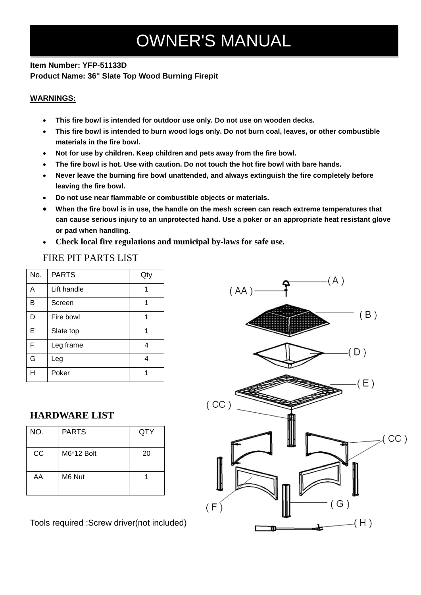# OWNER'S MANUAL

#### **Item Number: YFP-51133D Product Name: 36" Slate Top Wood Burning Firepit**

#### **WARNINGS:**

- **This fire bowl is intended for outdoor use only. Do not use on wooden decks.**
- **This fire bowl is intended to burn wood logs only. Do not burn coal, leaves, or other combustible materials in the fire bowl.**
- **Not for use by children. Keep children and pets away from the fire bowl.**
- **The fire bowl is hot. Use with caution. Do not touch the hot fire bowl with bare hands.**
- **Never leave the burning fire bowl unattended, and always extinguish the fire completely before leaving the fire bowl.**
- **Do not use near flammable or combustible objects or materials.**
- **When the fire bowl is in use, the handle on the mesh screen can reach extreme temperatures that can cause serious injury to an unprotected hand. Use a poker or an appropriate heat resistant glove or pad when handling.**
- **Check local fire regulations and municipal by-laws for safe use.**

FIRE PIT PARTS LIST

| No. | <b>PARTS</b> | Qty |
|-----|--------------|-----|
| A   | Lift handle  |     |
| в   | Screen       |     |
| D   | Fire bowl    |     |
| Е   | Slate top    |     |
| F   | Leg frame    |     |
| G   | Leg          |     |
|     | Poker        |     |

### **HARDWARE LIST**

| NO. | <b>PARTS</b> | QTY |
|-----|--------------|-----|
| CC  | M6*12 Bolt   | 20  |
| AA  | M6 Nut       |     |

Tools required :Screw driver(not included)

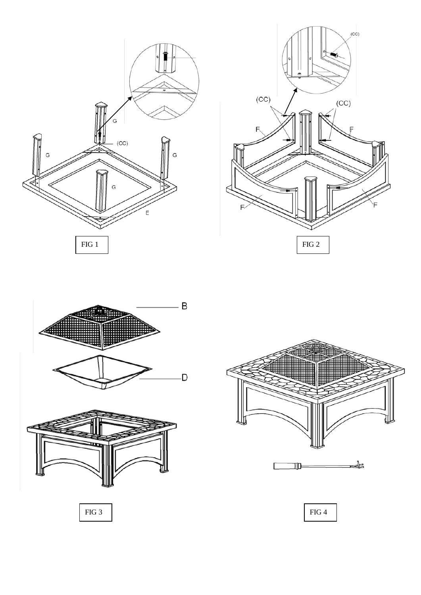







FIG 3 FIG 4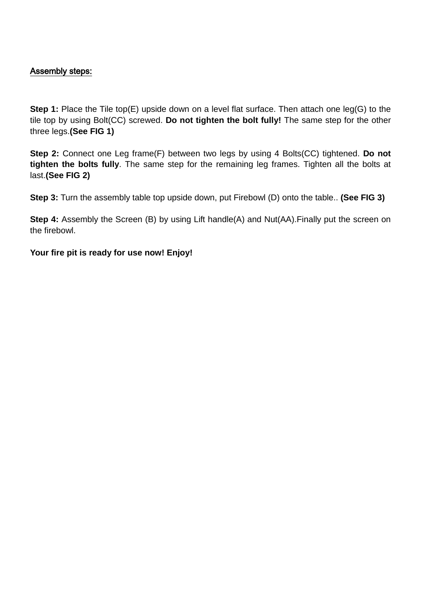## Assembly steps:

**Step 1:** Place the Tile top(E) upside down on a level flat surface. Then attach one leg(G) to the tile top by using Bolt(CC) screwed. **Do not tighten the bolt fully!** The same step for the other three legs.**(See FIG 1)**

**Step 2:** Connect one Leg frame(F) between two legs by using 4 Bolts(CC) tightened. **Do not tighten the bolts fully**. The same step for the remaining leg frames. Tighten all the bolts at last.**(See FIG 2)**

**Step 3:** Turn the assembly table top upside down, put Firebowl (D) onto the table.. **(See FIG 3)**

**Step 4:** Assembly the Screen (B) by using Lift handle(A) and Nut(AA). Finally put the screen on the firebowl.

**Your fire pit is ready for use now! Enjoy!**